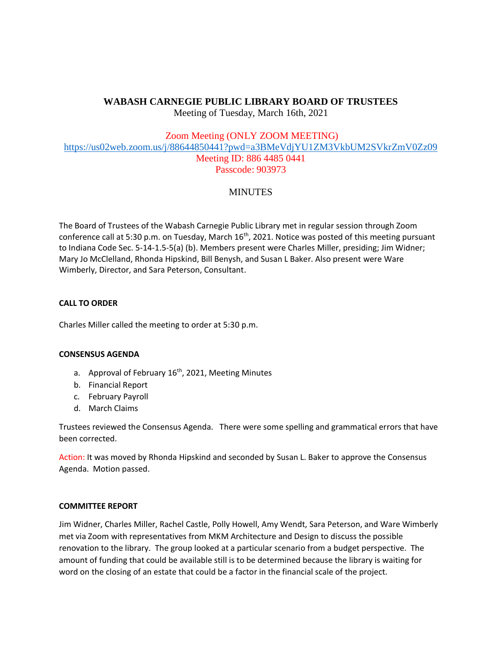# **WABASH CARNEGIE PUBLIC LIBRARY BOARD OF TRUSTEES**

Meeting of Tuesday, March 16th, 2021

# Zoom Meeting (ONLY ZOOM MEETING)

<https://us02web.zoom.us/j/88644850441?pwd=a3BMeVdjYU1ZM3VkbUM2SVkrZmV0Zz09> Meeting ID: 886 4485 0441 Passcode: 903973

# **MINUTES**

The Board of Trustees of the Wabash Carnegie Public Library met in regular session through Zoom conference call at 5:30 p.m. on Tuesday, March 16<sup>th</sup>, 2021. Notice was posted of this meeting pursuant to Indiana Code Sec. 5-14-1.5-5(a) (b). Members present were Charles Miller, presiding; Jim Widner; Mary Jo McClelland, Rhonda Hipskind, Bill Benysh, and Susan L Baker. Also present were Ware Wimberly, Director, and Sara Peterson, Consultant.

# **CALL TO ORDER**

Charles Miller called the meeting to order at 5:30 p.m.

# **CONSENSUS AGENDA**

- a. Approval of February  $16<sup>th</sup>$ , 2021, Meeting Minutes
- b. Financial Report
- c. February Payroll
- d. March Claims

Trustees reviewed the Consensus Agenda. There were some spelling and grammatical errors that have been corrected.

Action: It was moved by Rhonda Hipskind and seconded by Susan L. Baker to approve the Consensus Agenda. Motion passed.

# **COMMITTEE REPORT**

Jim Widner, Charles Miller, Rachel Castle, Polly Howell, Amy Wendt, Sara Peterson, and Ware Wimberly met via Zoom with representatives from MKM Architecture and Design to discuss the possible renovation to the library. The group looked at a particular scenario from a budget perspective. The amount of funding that could be available still is to be determined because the library is waiting for word on the closing of an estate that could be a factor in the financial scale of the project.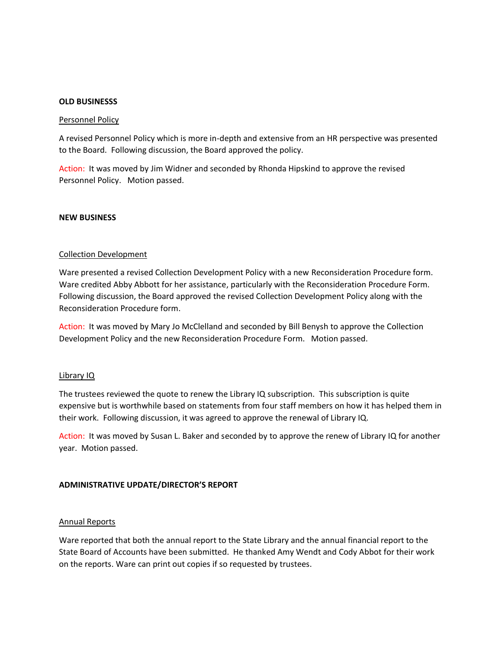#### **OLD BUSINESSS**

#### Personnel Policy

A revised Personnel Policy which is more in-depth and extensive from an HR perspective was presented to the Board. Following discussion, the Board approved the policy.

Action: It was moved by Jim Widner and seconded by Rhonda Hipskind to approve the revised Personnel Policy. Motion passed.

#### **NEW BUSINESS**

#### Collection Development

Ware presented a revised Collection Development Policy with a new Reconsideration Procedure form. Ware credited Abby Abbott for her assistance, particularly with the Reconsideration Procedure Form. Following discussion, the Board approved the revised Collection Development Policy along with the Reconsideration Procedure form.

Action: It was moved by Mary Jo McClelland and seconded by Bill Benysh to approve the Collection Development Policy and the new Reconsideration Procedure Form. Motion passed.

#### Library IQ

The trustees reviewed the quote to renew the Library IQ subscription. This subscription is quite expensive but is worthwhile based on statements from four staff members on how it has helped them in their work. Following discussion, it was agreed to approve the renewal of Library IQ.

Action: It was moved by Susan L. Baker and seconded by to approve the renew of Library IQ for another year. Motion passed.

#### **ADMINISTRATIVE UPDATE/DIRECTOR'S REPORT**

#### Annual Reports

Ware reported that both the annual report to the State Library and the annual financial report to the State Board of Accounts have been submitted. He thanked Amy Wendt and Cody Abbot for their work on the reports. Ware can print out copies if so requested by trustees.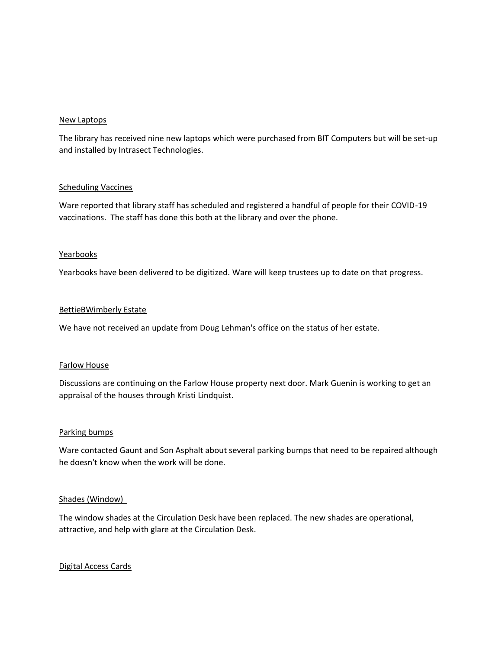## New Laptops

The library has received nine new laptops which were purchased from BIT Computers but will be set-up and installed by Intrasect Technologies.

## **Scheduling Vaccines**

Ware reported that library staff has scheduled and registered a handful of people for their COVID-19 vaccinations. The staff has done this both at the library and over the phone.

## Yearbooks

Yearbooks have been delivered to be digitized. Ware will keep trustees up to date on that progress.

## BettieBWimberly Estate

We have not received an update from Doug Lehman's office on the status of her estate.

### Farlow House

Discussions are continuing on the Farlow House property next door. Mark Guenin is working to get an appraisal of the houses through Kristi Lindquist.

### Parking bumps

Ware contacted Gaunt and Son Asphalt about several parking bumps that need to be repaired although he doesn't know when the work will be done.

### Shades (Window)

The window shades at the Circulation Desk have been replaced. The new shades are operational, attractive, and help with glare at the Circulation Desk.

# Digital Access Cards